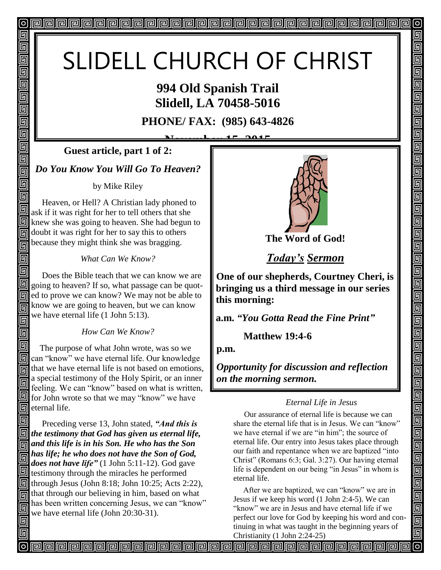# SLIDELL CHURCH OF CHRIST

### **994 Old Spanish Trail Slidell, LA 70458-5016**

**PHONE/ FAX: (985) 643-4826**

**November 15, 2015 Guest article, part 1 of 2:**

*Do You Know You Will Go To Heaven?*

回

回 回 同 回

回 回

回

回 回 回 同

回

同

回

同

by Mike Riley

同 Heaven, or Hell? A Christian lady phoned to 回 ask if it was right for her to tell others that she knew she was going to heaven. She had begun to doubt it was right for her to say this to others 同 because they might think she was bragging. 同

*What Can We Know?*

回 Does the Bible teach that we can know we are 同 going to heaven? If so, what passage can be quot-**同** ed to prove we can know? We may not be able to know we are going to heaven, but we can know 同 we have eternal life (1 John 5:13). 回

*How Can We Know?*

同 The purpose of what John wrote, was so we **h** can "know" we have eternal life. Our knowledge that we have eternal life is not based on emotions, 同 a special testimony of the Holy Spirit, or an inner 同 feeling. We can "know" based on what is written, **for John wrote so that we may "know" we have**  $\Box$  eternal life.

同 Preceding verse 13, John stated, *"And this is the testimony that God has given us eternal life, and this life is in his Son. He who has the Son has life; he who does not have the Son of God,*  同 *does not have life"* (1 John 5:11-12). God gave  $\mathbf{\mathbb{S}}$  testimony through the miracles he performed  $\boxed{9}$  through Jesus (John 8:18; John 10:25; Acts 2:22),  $\sqrt{\frac{1}{2}}$  that through our believing in him, based on what has been written concerning Jesus, we can "know" 回 we have eternal life (John 20:30-31).



**The Word of God!**

*Today's Sermon*

**One of our shepherds, Courtney Cheri, is bringing us a third message in our series this morning:** 

**a.m.** *"You Gotta Read the Fine Print"*

 **Matthew 19:4-6**

**p.m.**

*Opportunity for discussion and reflection on the morning sermon.* 

#### *Eternal Life in Jesus*

 Our assurance of eternal life is because we can share the eternal life that is in Jesus. We can "know" we have eternal if we are "in him"; the source of eternal life. Our entry into Jesus takes place through our faith and repentance when we are baptized "into Christ" (Romans 6:3; Gal. 3:27). Our having eternal life is dependent on our being "in Jesus" in whom is eternal life.

 After we are baptized, we can "know" we are in Jesus if we keep his word (1 John 2:4-5). We can "know" we are in Jesus and have eternal life if we perfect our love for God by keeping his word and continuing in what was taught in the beginning years of Christianity (1 John 2:24-25)

**PPPPPPPPPPPPPPPPPPP**PPPPPPP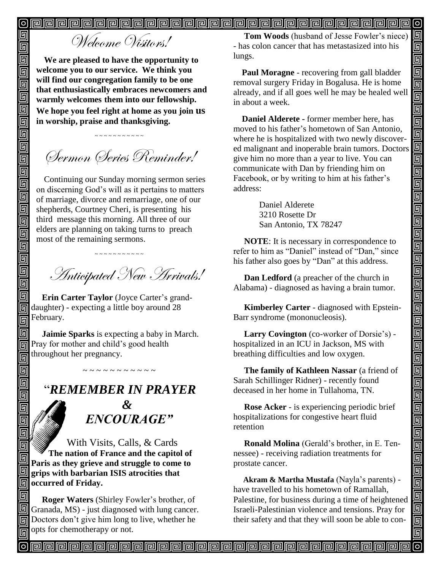$\boldsymbol{\mathsf{[o]}}$ 回

# Welcome Visitors!

**We are pleased to have the opportunity to welcome you to our service. We think you will find our congregation family to be one that enthusiastically embraces newcomers and warmly welcomes them into our fellowship. We hope you feel right at home as you join us in worship, praise and thanksgiving.**

Sermon Series Reminder!

~ ~ ~ ~ ~ ~ ~ ~ ~ ~

Continuing our Sunday morning sermon series on discerning God's will as it pertains to matters of marriage, divorce and remarriage, one of our shepherds, Courtney Cheri, is presenting his third message this morning. All three of our elders are planning on taking turns to preach most of the remaining sermons.

~ ~ ~ ~ ~ ~ ~ ~ ~ ~

Anticipated New Arrivals!

 **Erin Carter Taylor** (Joyce Carter's granddaughter) - expecting a little boy around 28 February.

 **Jaimie Sparks** is expecting a baby in March. Pray for mother and child's good health throughout her pregnancy.

## "*REMEMBER IN PRAYER*

 *&* " *ENCOURAGE"*

 With Visits, Calls, & Cards  **The nation of France and the capitol of Paris as they grieve and struggle to come to grips with barbarian ISIS atrocities that <u><b>o**l</u> occurred of Friday.

回  **Roger Waters** (Shirley Fowler's brother, of Granada, MS) - just diagnosed with lung cancer. **同** Doctors don't give him long to live, whether he opts for chemotherapy or not. 同

 **Tom Woods** (husband of Jesse Fowler's niece) - has colon cancer that has metastasized into his lungs.

 $\boldsymbol{\mathsf{[o]}}$ 

回

回 靣

واواواواواواواواوا

回 <u>ត្ប</u>

<u>同</u> 画

اواهاها والواواها والواوا

90000

<u>gagaga</u>

画画

 $\overline{\mathsf{G}}$ 

回

 **Paul Moragne** - recovering from gall bladder removal surgery Friday in Bogalusa. He is home already, and if all goes well he may be healed well in about a week.

 **Daniel Alderete -** former member here, has moved to his father's hometown of San Antonio, where he is hospitalized with two newly discovered malignant and inoperable brain tumors. Doctors give him no more than a year to live. You can communicate with Dan by friending him on Facebook, or by writing to him at his father's address:

> Daniel Alderete 3210 Rosette Dr San Antonio, TX 78247

 **NOTE**: It is necessary in correspondence to refer to him as "Daniel" instead of "Dan," since his father also goes by "Dan" at this address.

 **Dan Ledford** (a preacher of the church in Alabama) - diagnosed as having a brain tumor.

 **Kimberley Carter** - diagnosed with Epstein-Barr syndrome (mononucleosis).

 **Larry Covington** (co-worker of Dorsie's) hospitalized in an ICU in Jackson, MS with breathing difficulties and low oxygen.

 **The family of Kathleen Nassar** (a friend of Sarah Schillinger Ridner) - recently found deceased in her home in Tullahoma, TN.

 **Rose Acker** - is experiencing periodic brief hospitalizations for congestive heart fluid retention

 **Ronald Molina** (Gerald's brother, in E. Tennessee) - receiving radiation treatments for prostate cancer.

 **Akram & Martha Mustafa** (Nayla's parents) have travelled to his hometown of Ramallah, Palestine, for business during a time of heightened Israeli-Palestinian violence and tensions. Pray for their safety and that they will soon be able to con-

~ ~ ~ ~ ~ ~ ~ ~ ~ ~

回

同 面

Ō<br>O 画 靣 回 靣  $\overline{\mathbb{D}}$ 回 回

回回

<u>Field</u>

靣

 $\overline{\overline{\mathbb{G}}}$ 回 回 回 回 回

回 同 回

回 回 回 回 回

回 П 回

> <u>papapapapapapapapapapapapapapapa</u> 冋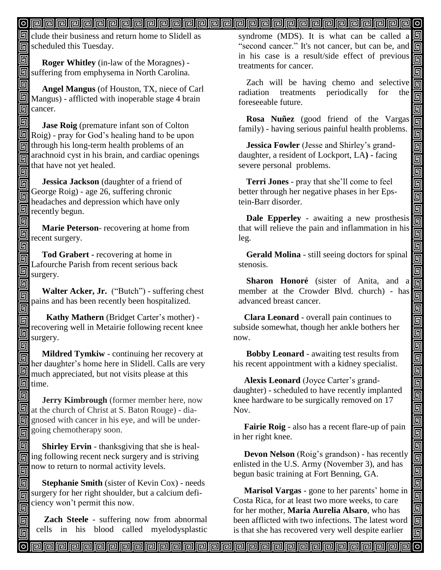#### 

 $\mathbb{F}$  clude their business and return home to Slidell as scheduled this Tuesday.

回  **Roger Whitley** (in-law of the Moragnes) suffering from emphysema in North Carolina.

回

同 回

同

回

同 同

 **Angel Mangus** (of Houston, TX, niece of Carl Mangus) - afflicted with inoperable stage 4 brain 同 cancer.

回 **Jase Roig** (premature infant son of Colton Roig) - pray for God's healing hand to be upon  $\overline{\text{m}}$  through his long-term health problems of an  $\overline{\mathbb{F}}$  arachnoid cyst in his brain, and cardiac openings that have not yet healed. 同

 **Jessica Jackson** (daughter of a friend of 同 George Roig) - age 26, suffering chronic 同 headaches and depression which have only **n** recently begun.

圆  **Marie Peterson**- recovering at home from **n** recent surgery. 回

 **Tod Grabert -** recovering at home in Lafourche Parish from recent serious back surgery.

回 **Walter Acker, Jr.** ("Butch") - suffering chest 回 pains and has been recently been hospitalized.

 **Kathy Mathern** (Bridget Carter's mother) recovering well in Metairie following recent knee 0 surgery.

回 **Mildred Tymkiw** - continuing her recovery at 同 her daughter's home here in Slidell. Calls are very much appreciated, but not visits please at this  $\Box$  time.

回  **Jerry Kimbrough** (former member here, now at the church of Christ at S. Baton Rouge) - diagnosed with cancer in his eye, and will be undergoing chemotherapy soon. Î

同 **Shirley Ervin** - thanksgiving that she is heal- $\boxed{6}$  ing following recent neck surgery and is striving  $\frac{1}{\sqrt{2}}$  now to return to normal activity levels.

回 **Stephanie Smith** (sister of Kevin Cox) - needs  $\sqrt{\frac{1}{2}}$  surgery for her right shoulder, but a calcium deficiency won't permit this now. 回

**Zach Steele** - suffering now from abnormal cells in his blood called myelodysplastic syndrome (MDS). It is what can be called a "second cancer." It's not cancer, but can be, and in his case is a result/side effect of previous treatments for cancer.

回 回 靣

回  $\blacksquare$ 

 $\overline{\mathsf{g}}$ 

o<br>Olo

 $\overline{\mathbf{p}}$ 

<u>alai</u>

اواروارواروارواروارواروا

İo

واواواواواواواواواواواواواوا

d<br>90

<u>alai</u>

ලු

Zach will be having chemo and selective radiation treatments periodically for the foreseeable future. õ

**Rosa Nuñez** (good friend of the Vargas family) - having serious painful health problems.

**Jessica Fowler** (Jesse and Shirley's granddaughter, a resident of Lockport, LA**) -** facing severe personal problems.

**Terri Jones** - pray that she'll come to feel better through her negative phases in her Epstein-Barr disorder.

**Dale Epperley** - awaiting a new prosthesis that will relieve the pain and inflammation in his leg.

**Gerald Molina** - still seeing doctors for spinal stenosis.

**Sharon Honoré** (sister of Anita, and a member at the Crowder Blvd. church) - has advanced breast cancer.

 **Clara Leonard** - overall pain continues to subside somewhat, though her ankle bothers her now.

 **Bobby Leonard** - awaiting test results from his recent appointment with a kidney specialist.

 **Alexis Leonard** (Joyce Carter's granddaughter) - scheduled to have recently implanted knee hardware to be surgically removed on 17 Nov.

 **Fairie Roig** - also has a recent flare-up of pain in her right knee.

 **Devon Nelson** (Roig's grandson) - has recently enlisted in the U.S. Army (November 3), and has begun basic training at Fort Benning, GA.

 **Marisol Vargas** - gone to her parents' home in Costa Rica, for at least two more weeks, to care for her mother, **Maria Aurelia Alsaro**, who has been afflicted with two infections. The latest word is that she has recovered very well despite earlier

<u>papapapapapapapapapapapapapapapa</u>